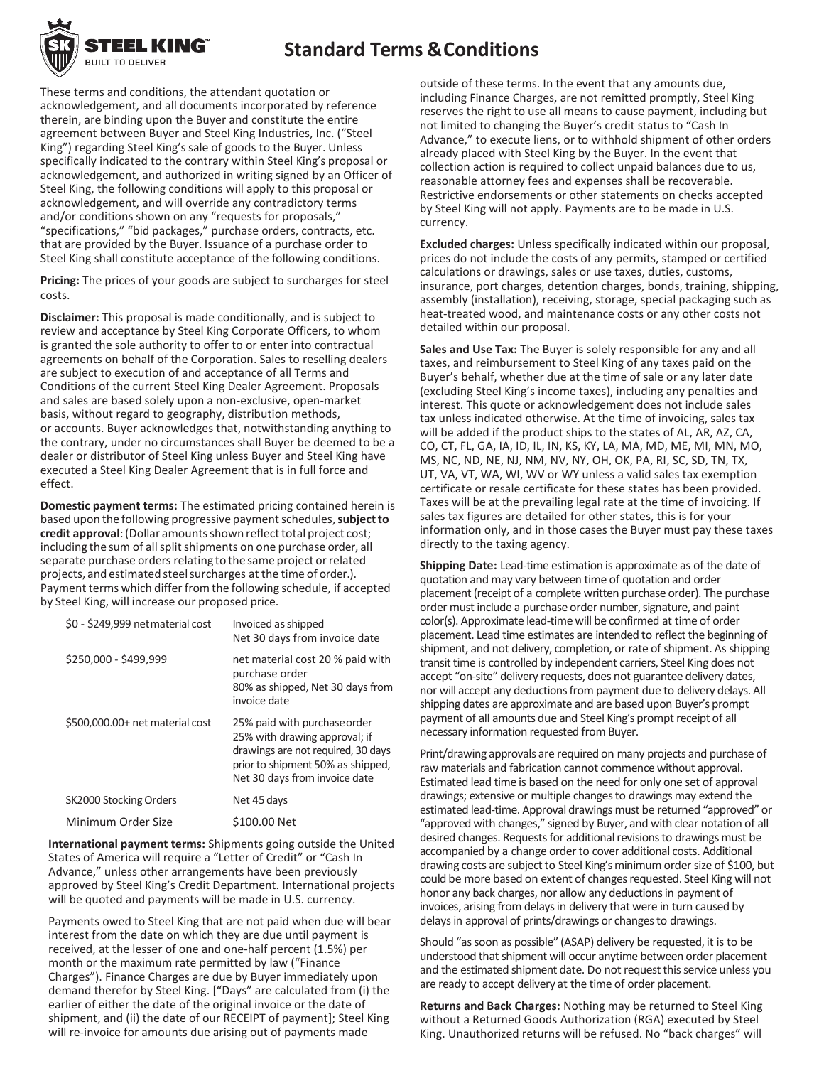

These terms and conditions, the attendant quotation or acknowledgement, and all documents incorporated by reference therein, are binding upon the Buyer and constitute the entire agreement between Buyer and Steel King Industries, Inc. ("Steel King") regarding Steel King's sale of goods to the Buyer. Unless specifically indicated to the contrary within Steel King's proposal or acknowledgement, and authorized in writing signed by an Officer of Steel King, the following conditions will apply to this proposal or acknowledgement, and will override any contradictory terms and/or conditions shown on any "requests for proposals," "specifications," "bid packages," purchase orders, contracts, etc. that are provided by the Buyer. Issuance of a purchase order to Steel King shall constitute acceptance of the following conditions.

**Pricing:** The prices of your goods are subject to surcharges for steel costs.

**Disclaimer:** This proposal is made conditionally, and is subject to review and acceptance by Steel King Corporate Officers, to whom is granted the sole authority to offer to or enter into contractual agreements on behalf of the Corporation. Sales to reselling dealers are subject to execution of and acceptance of all Terms and Conditions of the current Steel King Dealer Agreement. Proposals and sales are based solely upon a non-exclusive, open-market basis, without regard to geography, distribution methods, or accounts. Buyer acknowledges that, notwithstanding anything to the contrary, under no circumstances shall Buyer be deemed to be a dealer or distributor of Steel King unless Buyer and Steel King have executed a Steel King Dealer Agreement that is in full force and effect.

**Domestic payment terms:** The estimated pricing contained herein is based upon the following progressive payment schedules, subject to credit approval: (Dollar amounts shown reflect total project cost; including the sum of all split shipments on one purchase order, all separate purchase orders relating to the same project or related projects, and estimated steel surcharges at the time of order.). Payment terms which differ from the following schedule, if accepted by Steel King, will increase our proposed price.

| Invoiced as shipped<br>Net 30 days from invoice date                                                                                                                      |
|---------------------------------------------------------------------------------------------------------------------------------------------------------------------------|
| net material cost 20 % paid with<br>purchase order<br>80% as shipped, Net 30 days from<br>invoice date                                                                    |
| 25% paid with purchase order<br>25% with drawing approval; if<br>drawings are not required, 30 days<br>prior to shipment 50% as shipped,<br>Net 30 days from invoice date |
| Net 45 days                                                                                                                                                               |
| \$100.00 Net                                                                                                                                                              |
|                                                                                                                                                                           |

**International payment terms:** Shipments going outside the United States of America will require a "Letter of Credit" or "Cash In Advance," unless other arrangements have been previously approved by Steel King's Credit Department. International projects will be quoted and payments will be made in U.S. currency.

Payments owed to Steel King that are not paid when due will bear interest from the date on which they are due until payment is received, at the lesser of one and one-half percent (1.5%) per month or the maximum rate permitted by law ("Finance Charges"). Finance Charges are due by Buyer immediately upon demand therefor by Steel King. ["Days" are calculated from (i) the earlier of either the date of the original invoice or the date of shipment, and (ii) the date of our RECEIPT of payment]; Steel King will re-invoice for amounts due arising out of payments made

outside of these terms. In the event that any amounts due, including Finance Charges, are not remitted promptly, Steel King reserves the right to use all means to cause payment, including but not limited to changing the Buyer's credit status to "Cash In Advance," to execute liens, or to withhold shipment of other orders already placed with Steel King by the Buyer. In the event that collection action is required to collect unpaid balances due to us, reasonable attorney fees and expenses shall be recoverable. Restrictive endorsements or other statements on checks accepted by Steel King will not apply. Payments are to be made in U.S. currency.

**Excluded charges:** Unless specifically indicated within our proposal, prices do not include the costs of any permits, stamped or certified calculations or drawings, sales or use taxes, duties, customs, insurance, port charges, detention charges, bonds, training, shipping, assembly (installation), receiving, storage, special packaging such as heat-treated wood, and maintenance costs or any other costs not detailed within our proposal.

**Sales and Use Tax:** The Buyer is solely responsible for any and all taxes, and reimbursement to Steel King of any taxes paid on the Buyer's behalf, whether due at the time of sale or any later date (excluding Steel King's income taxes), including any penalties and interest. This quote or acknowledgement does not include sales tax unless indicated otherwise. At the time of invoicing, sales tax will be added if the product ships to the states of AL, AR, AZ, CA, CO, CT, FL, GA, IA, ID, IL, IN, KS, KY, LA, MA, MD, ME, MI, MN, MO, MS, NC, ND, NE, NJ, NM, NV, NY, OH, OK, PA, RI, SC, SD, TN, TX, UT, VA, VT, WA, WI, WV or WY unless a valid sales tax exemption certificate or resale certificate for these states has been provided. Taxes will be at the prevailing legal rate at the time of invoicing. If sales tax figures are detailed for other states, this is for your information only, and in those cases the Buyer must pay these taxes directly to the taxing agency.

**Shipping Date:** Lead-time estimation is approximate as of the date of quotation and may vary between time of quotation and order placement (receipt of a complete written purchase order). The purchase order must include a purchase order number, signature, and paint color(s). Approximate lead-time will be confirmed at time of order placement. Lead time estimates are intended to reflect the beginning of shipment, and not delivery, completion, or rate of shipment. As shipping transit time is controlled by independent carriers, Steel King does not accept "on-site" delivery requests, does not guarantee delivery dates, nor will accept any deductions from payment due to delivery delays. All shipping dates are approximate and are based upon Buyer's prompt payment of all amounts due and Steel King's prompt receipt of all necessary information requested from Buyer.

Print/drawing approvals are required on many projects and purchase of raw materials and fabrication cannot commence without approval. Estimated lead time is based on the need for only one set of approval drawings; extensive or multiple changes to drawings may extend the estimated lead-time. Approval drawings must be returned "approved" or "approved with changes," signed by Buyer, and with clear notation of all desired changes. Requests for additional revisions to drawings must be accompanied by a change order to cover additional costs. Additional drawing costs are subject to Steel King's minimum order size of \$100, but could be more based on extent of changes requested. Steel King will not honor any back charges, nor allow any deductions in payment of invoices, arising from delays in delivery that were in turn caused by delays in approval of prints/drawings or changes to drawings.

Should "as soon as possible" (ASAP) delivery be requested, it is to be understood that shipment will occur anytime between order placement and the estimated shipment date. Do not request this service unless you are ready to accept delivery at the time of order placement.

**Returns and Back Charges:** Nothing may be returned to Steel King without a Returned Goods Authorization (RGA) executed by Steel King. Unauthorized returns will be refused. No "back charges" will

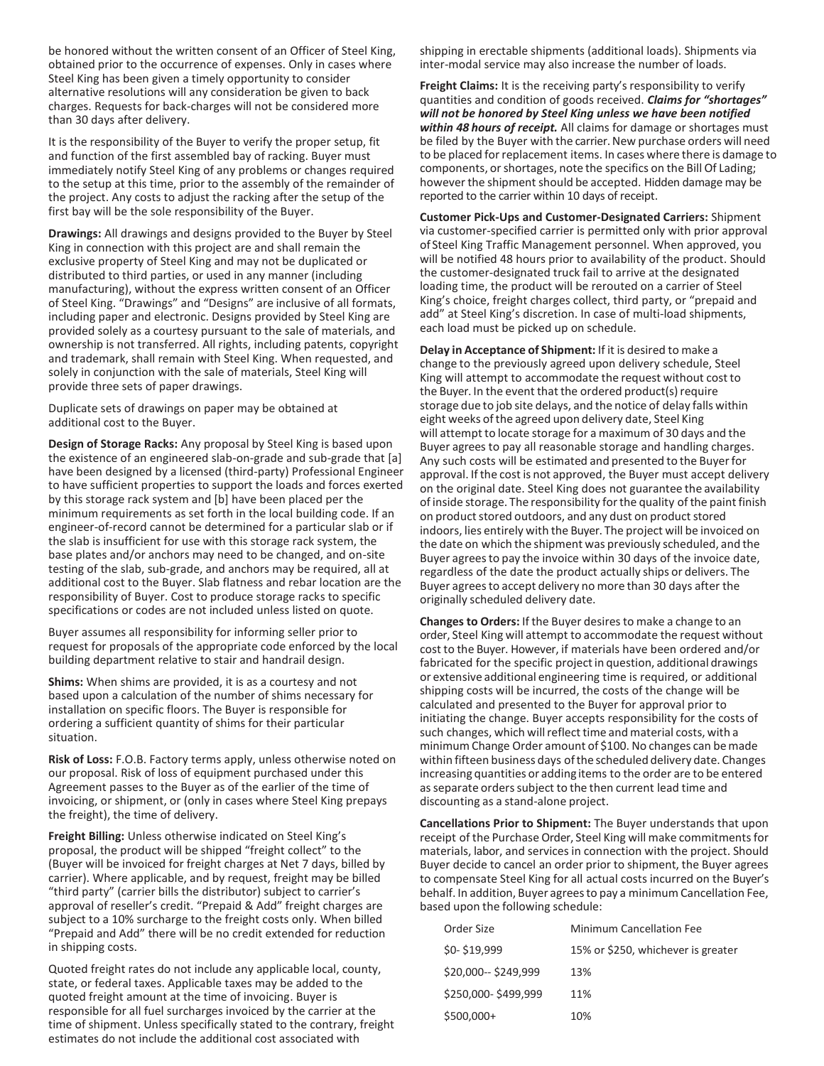be honored without the written consent of an Officer of Steel King, obtained prior to the occurrence of expenses. Only in cases where Steel King has been given a timely opportunity to consider alternative resolutions will any consideration be given to back charges. Requests for back-charges will not be considered more than 30 days after delivery.

It is the responsibility of the Buyer to verify the proper setup, fit and function of the first assembled bay of racking. Buyer must immediately notify Steel King of any problems or changes required to the setup at this time, prior to the assembly of the remainder of the project. Any costs to adjust the racking after the setup of the first bay will be the sole responsibility of the Buyer.

**Drawings:** All drawings and designs provided to the Buyer by Steel King in connection with this project are and shall remain the exclusive property of Steel King and may not be duplicated or distributed to third parties, or used in any manner (including manufacturing), without the express written consent of an Officer of Steel King. "Drawings" and "Designs" are inclusive of all formats, including paper and electronic. Designs provided by Steel King are provided solely as a courtesy pursuant to the sale of materials, and ownership is not transferred. All rights, including patents, copyright and trademark, shall remain with Steel King. When requested, and solely in conjunction with the sale of materials, Steel King will provide three sets of paper drawings.

Duplicate sets of drawings on paper may be obtained at additional cost to the Buyer.

**Design of Storage Racks:** Any proposal by Steel King is based upon the existence of an engineered slab-on-grade and sub-grade that [a] have been designed by a licensed (third-party) Professional Engineer to have sufficient properties to support the loads and forces exerted by this storage rack system and [b] have been placed per the minimum requirements as set forth in the local building code. If an engineer-of-record cannot be determined for a particular slab or if the slab is insufficient for use with this storage rack system, the base plates and/or anchors may need to be changed, and on-site testing of the slab, sub-grade, and anchors may be required, all at additional cost to the Buyer. Slab flatness and rebar location are the responsibility of Buyer. Cost to produce storage racks to specific specifications or codes are not included unless listed on quote.

Buyer assumes all responsibility for informing seller prior to request for proposals of the appropriate code enforced by the local building department relative to stair and handrail design.

**Shims:** When shims are provided, it is as a courtesy and not based upon a calculation of the number of shims necessary for installation on specific floors. The Buyer is responsible for ordering a sufficient quantity of shims for their particular situation.

**Risk of Loss:** F.O.B. Factory terms apply, unless otherwise noted on our proposal. Risk of loss of equipment purchased under this Agreement passes to the Buyer as of the earlier of the time of invoicing, or shipment, or (only in cases where Steel King prepays the freight), the time of delivery.

**Freight Billing:** Unless otherwise indicated on Steel King's proposal, the product will be shipped "freight collect" to the (Buyer will be invoiced for freight charges at Net 7 days, billed by carrier). Where applicable, and by request, freight may be billed "third party" (carrier bills the distributor) subject to carrier's approval of reseller's credit. "Prepaid & Add" freight charges are subject to a 10% surcharge to the freight costs only. When billed "Prepaid and Add" there will be no credit extended for reduction in shipping costs.

Quoted freight rates do not include any applicable local, county, state, or federal taxes. Applicable taxes may be added to the quoted freight amount at the time of invoicing. Buyer is responsible for all fuel surcharges invoiced by the carrier at the time of shipment. Unless specifically stated to the contrary, freight estimates do not include the additional cost associated with

shipping in erectable shipments (additional loads). Shipments via inter-modal service may also increase the number of loads.

**Freight Claims:** It is the receiving party's responsibility to verify quantities and condition of goods received. *Claims for "shortages" will not be honored by Steel King unless we have been notified within 48 hours of receipt.* All claims for damage or shortages must be filed by the Buyer with the carrier. New purchase orders will need to be placed for replacement items. In cases where there is damage to components, or shortages, note the specifics on the Bill Of Lading; however the shipment should be accepted. Hidden damage may be reported to the carrier within 10 days of receipt.

**Customer Pick-Ups and Customer-Designated Carriers:** Shipment via customer-specified carrier is permitted only with prior approval of Steel King Traffic Management personnel. When approved, you will be notified 48 hours prior to availability of the product. Should the customer-designated truck fail to arrive at the designated loading time, the product will be rerouted on a carrier of Steel King's choice, freight charges collect, third party, or "prepaid and add" at Steel King's discretion. In case of multi-load shipments, each load must be picked up on schedule.

**Delay in Acceptance of Shipment:** If it is desired to make a change to the previously agreed upon delivery schedule, Steel King will attempt to accommodate the request without cost to the Buyer. In the event that the ordered product(s) require storage due to job site delays, and the notice of delay falls within eight weeks ofthe agreed upon delivery date, Steel King will attempt to locate storage for a maximum of 30 days and the Buyer agrees to pay all reasonable storage and handling charges. Any such costs will be estimated and presented to the Buyerfor approval. If the cost is not approved, the Buyer must accept delivery on the original date. Steel King does not guarantee the availability of inside storage. The responsibility for the quality of the paint finish on product stored outdoors, and any dust on product stored indoors, lies entirely with the Buyer. The project will be invoiced on the date on which the shipment was previously scheduled, and the Buyer agreesto pay the invoice within 30 days of the invoice date, regardless of the date the product actually ships or delivers. The Buyer agreesto accept delivery no more than 30 days after the originally scheduled delivery date.

**Changes to Orders:** If the Buyer desiresto make a change to an order, Steel King will attempt to accommodate the request without cost to the Buyer. However, if materials have been ordered and/or fabricated for the specific project in question, additional drawings or extensive additional engineering time is required, or additional shipping costs will be incurred, the costs of the change will be calculated and presented to the Buyer for approval prior to initiating the change. Buyer accepts responsibility for the costs of such changes, which will reflect time and material costs, with a minimum Change Order amount of \$100. No changes can bemade within fifteen business days of the scheduled delivery date. Changes increasing quantities or adding items to the order are to be entered as separate orders subject to the then current lead time and discounting as a stand-alone project.

**Cancellations Prior to Shipment:** The Buyer understands that upon receipt of the Purchase Order, Steel King will make commitments for materials, labor, and services in connection with the project. Should Buyer decide to cancel an order prior to shipment, the Buyer agrees to compensate Steel King for all actual costs incurred on the Buyer's behalf. In addition, Buyer agreesto pay a minimum Cancellation Fee, based upon the following schedule:

| Order Size            | <b>Minimum Cancellation Fee</b>    |
|-----------------------|------------------------------------|
| \$0-\$19,999          | 15% or \$250, whichever is greater |
| \$20,000 -- \$249,999 | 13%                                |
| \$250,000-\$499,999   | 11%                                |
| $$500,000+$           | 10%                                |